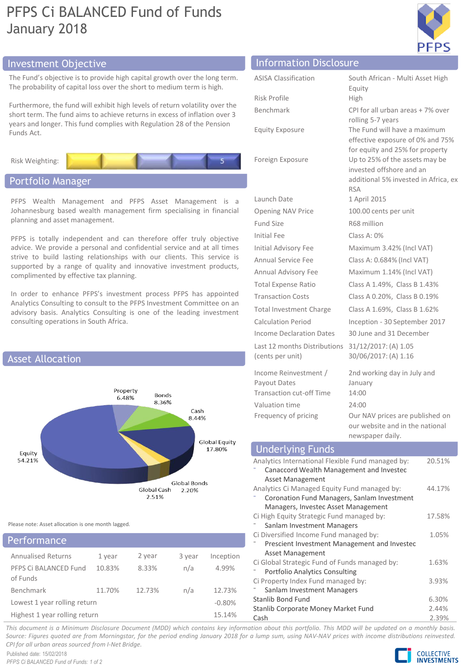# PFPS Ci BALANCED Fund of Funds January 2018



# Investment Objective **Information Disclosure**

The Fund's objective is to provide high capital growth over the long term. The probability of capital loss over the short to medium term is high.

Furthermore, the fund will exhibit high levels of return volatility over the short term. The fund aims to achieve returns in excess of inflation over 3 years and longer. This fund complies with Regulation 28 of the Pension Funds Act.

Risk Weighting:

# Portfolio Manager

PFPS Wealth Management and PFPS Asset Management is a Johannesburg based wealth management firm specialising in financial planning and asset management.

PFPS is totally independent and can therefore offer truly objective advice. We provide a personal and confidential service and at all times strive to build lasting relationships with our clients. This service is supported by a range of quality and innovative investment products, complimented by effective tax planning.

In order to enhance PFPS's investment process PFPS has appointed Analytics Consulting to consult to the PFPS Investment Committee on an advisory basis. Analytics Consulting is one of the leading investment consulting operations in South Africa.



Please note: Asset allocation is one month lagged.

## Annualised Returns 1 year 2 year 3 year Inception PFPS Ci BALANCED Fund of Funds 10.83% 8.33% n/a 4.99% Benchmark 11.70% 12.73% n/a 12.73% Lowest 1 year rolling return  $-0.80\%$ Highest 1 year rolling return 15.14% Performance

| <b>ASISA Classification</b>                                              | South African - Multi Asset High                                                                                                                    |
|--------------------------------------------------------------------------|-----------------------------------------------------------------------------------------------------------------------------------------------------|
|                                                                          | Equity                                                                                                                                              |
| <b>Risk Profile</b>                                                      | High                                                                                                                                                |
| <b>Benchmark</b>                                                         | CPI for all urban areas + 7% over                                                                                                                   |
| <b>Equity Exposure</b>                                                   | rolling 5-7 years<br>The Fund will have a maximum<br>effective exposure of 0% and 75%                                                               |
| Foreign Exposure                                                         | for equity and 25% for property<br>Up to 25% of the assets may be<br>invested offshore and an<br>additional 5% invested in Africa, ex<br><b>RSA</b> |
| Launch Date                                                              | 1 April 2015                                                                                                                                        |
| <b>Opening NAV Price</b>                                                 | 100.00 cents per unit                                                                                                                               |
| Fund Size                                                                | R68 million                                                                                                                                         |
| Initial Fee                                                              | Class A: 0%                                                                                                                                         |
| <b>Initial Advisory Fee</b>                                              | Maximum 3.42% (Incl VAT)                                                                                                                            |
| <b>Annual Service Fee</b>                                                | Class A: 0.684% (Incl VAT)                                                                                                                          |
| Annual Advisory Fee                                                      | Maximum 1.14% (Incl VAT)                                                                                                                            |
| <b>Total Expense Ratio</b>                                               | Class A 1.49%, Class B 1.43%                                                                                                                        |
| <b>Transaction Costs</b>                                                 | Class A 0.20%, Class B 0.19%                                                                                                                        |
| Total Investment Charge                                                  | Class A 1.69%, Class B 1.62%                                                                                                                        |
| <b>Calculation Period</b>                                                | Inception - 30 September 2017                                                                                                                       |
| Income Declaration Dates                                                 | 30 June and 31 December                                                                                                                             |
| Last 12 months Distributions                                             | 31/12/2017: (A) 1.05                                                                                                                                |
| (cents per unit)                                                         | 30/06/2017: (A) 1.16                                                                                                                                |
| Income Reinvestment /<br>Payout Dates<br><b>Transaction cut-off Time</b> | 2nd working day in July and<br>January<br>14:00                                                                                                     |
| Valuation time                                                           | 24:00                                                                                                                                               |
| Frequency of pricing                                                     | Our NAV prices are published on<br>our website and in the national<br>newspaper daily.                                                              |

# Underlying Funds

| Analytics International Flexible Fund managed by: | 20.51% |
|---------------------------------------------------|--------|
| Canaccord Wealth Management and Investec          |        |
| <b>Asset Management</b>                           |        |
| Analytics Ci Managed Equity Fund managed by:      | 44.17% |
| Coronation Fund Managers, Sanlam Investment       |        |
| Managers, Investec Asset Management               |        |
| Ci High Equity Strategic Fund managed by:         | 17.58% |
| Sanlam Investment Managers                        |        |
| Ci Diversified Income Fund managed by:            | 1.05%  |
| Prescient Investment Management and Investec      |        |
| Asset Management                                  |        |
| Ci Global Strategic Fund of Funds managed by:     | 1.63%  |
| <b>Portfolio Analytics Consulting</b>             |        |
| Ci Property Index Fund managed by:                | 3.93%  |
| Sanlam Investment Managers                        |        |
| Stanlib Bond Fund                                 | 6.30%  |
| Stanlib Corporate Money Market Fund               | 2.44%  |
| Cash                                              | 2.39%  |

This document is a Minimum Disclosure Document (MDD) which contains key information about this portfolio. This MDD will be updated on a monthly basis. Source: Figures quoted are from Morningstar, for the period ending January 2018 for a lump sum, using NAV-NAV prices with income distributions reinvested. *CPI for all urban areas sourced from I-Net Bridge.*

Published date: 15/02/2018 *PFPS Ci BALANCED Fund of Funds: 1 of 2*